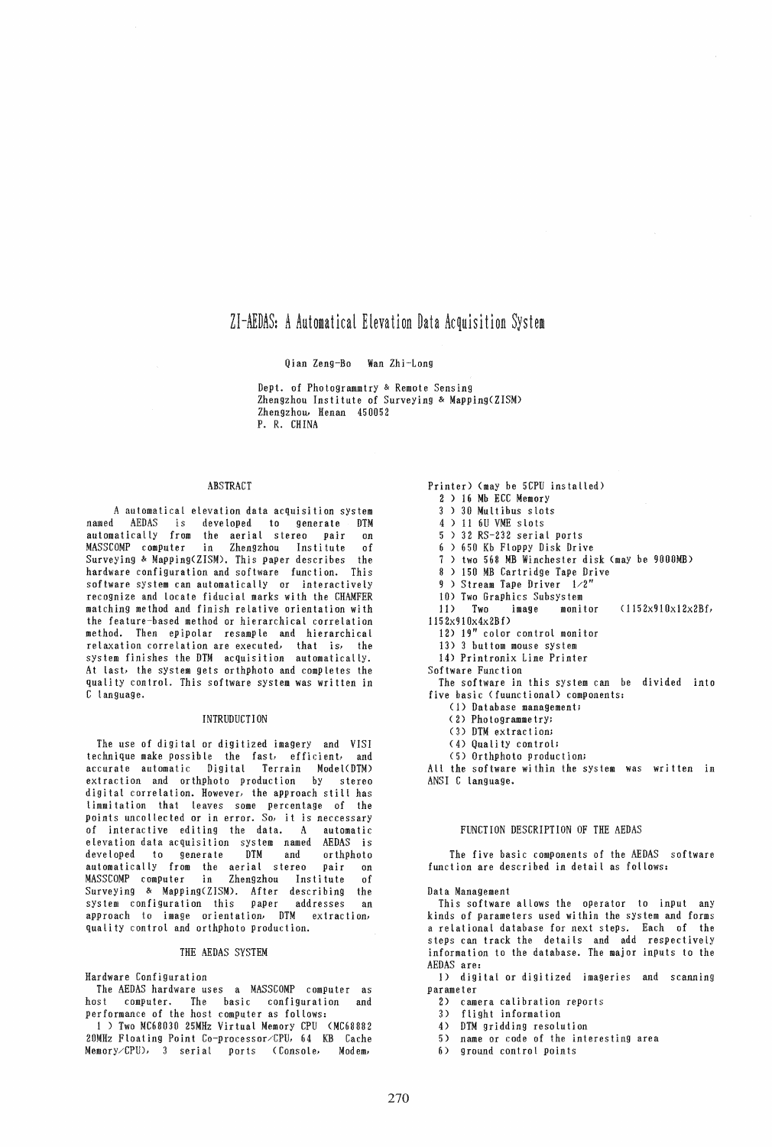# ZI-AEDAS: A Automatical Elevation Data Acquisition System

# Qian Zeng-Bo Wan Zhi-Long

Dept. of Photogrammtry & Remote Sensing Zhengzhou Institute of Surveying & Mapping(ZISM) Zhengzhou, Henan 450052 P. R. CHINA

# ABSTRACT

A automatical elevation data acquisition system named AEDAS is developed to generate DTM automatically from the aerial stereo pair<br>MASSCOMP computer in Zhengzhou Institute in Zhengzhou Institute of Surveying & Mapping(ZISM). This paper describes the hardware configuration and software function. This software system can automatically or interactively recognize and locate fiducial marks wi th the CHAMFER matching method and finish relative orientation with the feature-based method or hierarchical correlation method. Then epipolar resample and hierarchical relaxation correlation are executed, that is, the system finishes the DTM acquisition automatically. At last, the system gets orthphoto and completes the quati ty control. This software system was wri tten in C language.

#### INTRUDUCTI ON

The use of digital or digitized imagery and VISI technique make possible the fast, efficient, and accurate automatic Digital Terrain ModelCDTM) extraction and orthphoto production by stereo digital correlation. However, the approach still has timmi tation that leaves some percentage of the points uncollected or in error. So, it is neccessary of interactive editing the data. A automatic elevation data acquisition system named AEDAS is developed to generate DTM and orthphoto automatically from the aerial stereo pair on MASSCOMP computer in Zhengzhou Institute of Surveying & Mapping(ZISM). After describing the<br>system configuration this paper addresses an system configuration this paper addresses an approach to image orientation, DTM extraction, quati ty controt and orthphoto production.

# THE AEDAS SYSTEM

Hardware Configuration

The AEDAS hardware uses a MASSCOMP computer as host computer. The basic configuration and performance of the host computer as follows:

1 ) Two MC68030 25MHz Virtual Memory CPU (MC68882 20MHz Floating Point Co-processor/CPU, 64 KB Cache Memory/CPU), 3 serial ports (Console, Modem,

Printer) (may be 5CPU installed) 2 ) 16 Mb ECC Memory 3 ) 30 Multibus slots 4 ) 11 6U VME slots 5 ) 32 RS-232 serial ports 6 ) 650 Kb Floppy Disk Drive 7 ) two 568 MB Winchester disk (may be 9000MB) 8 ) 150 MB Cartridge Tape Drive 9 ) Stream Tape Driver  $1/2$ " 10) Two Graphics Subsystem<br>11) Two image monitor  $(1152x910x12x2Bf,$ 115 2x91 Ox4x2B f) 12) 19" color control monitor 13) 3 buttom mouse system 14) Printronix Line Printer Software Function The software in this system can be divided into five basic (fuunctional) components: (1) Database management; (2) PhotogrammetrY; (3) DTM extraction; (4) Quality control: (5) Orthphoto production; All the software within the system was written in

# FUNCTION DESCRIPTION OF THE AEDAS

The five basic components of the AEDAS software function are described in detail as follows:

Data Management

ANSI C language.

This software allows the operator to input any kinds of parameters used within the system and forms a relational database for next steps. Each of the steps can track the details and add respectively information to the database. The major inputs to the AEDAS are:

1) digital or digitized imageries and scanning parameter

- 2) camera calibration reports
- 3) flight information
- 4) DTM grldding resolution
- 5) name or code of the interesting area
- 6) ground control points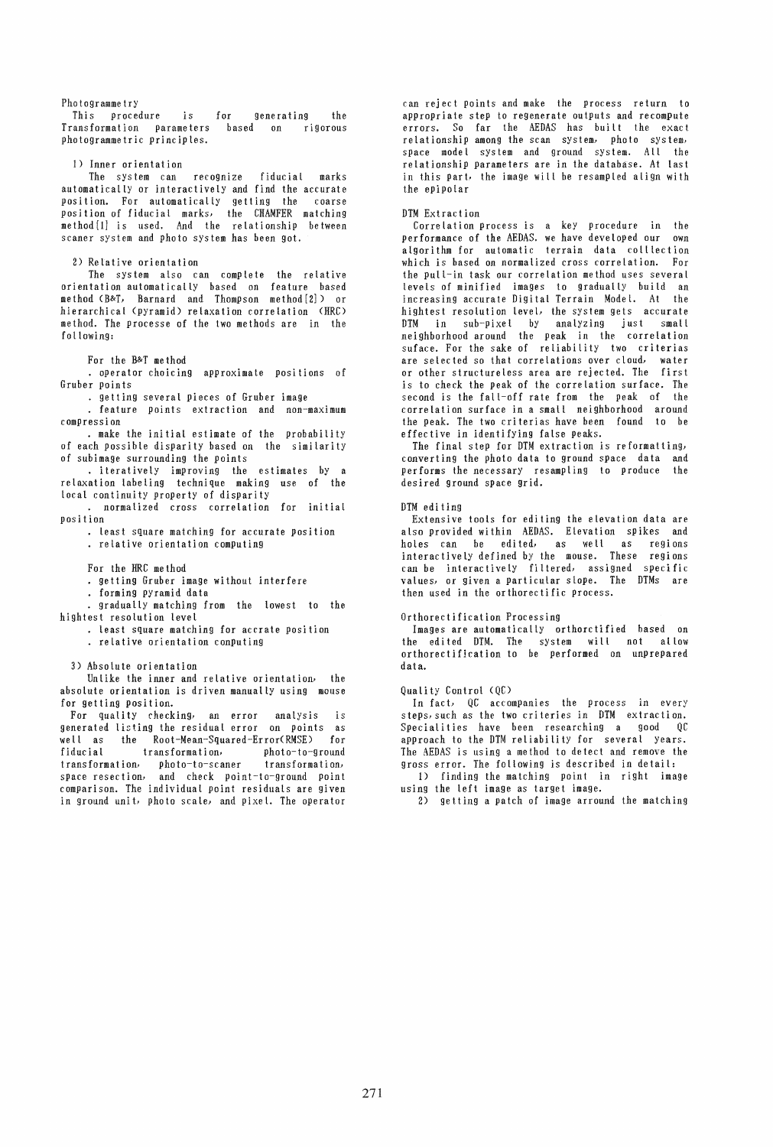Photogrammetry This procedure is for generating the Transformation parameters based on rigorous photogrammetric principles.

1) Inner orientation

The system can recognize fiducial marks automatically or interactively and find the accurate position. For automaticallY getting the coarse post tion of fiducial marks} the CHAMFER matching method[ll is used. And the relationship between scaner system and photo system has been got.

2) Relative orientation

The system also can complete the relative orientation automatically based on feature based method (B&T; Barnard and Thompson method[2]) or hierarchical (pyramid) relaxation correlation (HRC) method. The processe of the two methods are in the following:

For the B&T method

operator choicing apProximate positions of Gruber points

getting several pieces of Gruber image

feature points extraction and non-maximum compression

· make the initial estimate of the probability of each possible disparity based on the similarity of subimage surrounding the points

· iteratively improving the estimates by a re laxat ion tabe ling techni que making use of the local continuity property of disparity

normalized cross correlation for initial position

least square matching for accurate position • relative orientation computing

For the HRC method

getting Gruber image without interfere

• forming pyramid data

· gradually matching from the lowest to the hightest resolution level

least square matching for accrate position

• relative orientation conputing

3) Absolute orientation

Unlike the inner and relative orientation, the absolute orientation is driven manualty using mouse for getting position.

For quality checking, an error analysis is generated listing the residual error on points as well as the Root-Mean-Squared-Error(RMSE) for fiducial transformation, photo-to-ground transformation, photo-to-scaner transformation; space resection, and check point-ta-ground point comparison. The individual point residuals are given in ground unit, photo scale, and pixel. The operator

can reject points and make the process return to appropriate step to regenerate outputs and recompute errors. So far the AEDAS has built the exact relationship among the scan system; photo system, space model system and ground system. AU the relationship parameters are in the database. At last in this part, the image will be resampled align with the epipolar

# DTM Extraction

Correlation process is a key procedure in the performance of the AEDAS. we have developed our own algorithm for automatic terrain data colllection which is based on normatized cross correlation. For the pull-in task our correlation method uses several levels of minified images to graduallY build an increasing accurate Digital Terrain Model. At the hightest resolution level; the system gets accurate DTM in sub-pixel by analyzing just small neighborhood around the peak in the correlation suface. For the sake of reliability two criterias are selected so that correlations over cloud, water or other structureless area are rejected. The first is to check the peak of the correlation surface. The second is the fall-off rate from the peak of the correlation surface in a small neighborhood around the peak. The two criterias have been found to be effective in identifying false peaks.

The finaL step for DTM extraction is reformatting, converting the photo data to ground space data and performs the necessary resampling to produce the desired ground space grid.

#### DTM editing

Extensive tools for editing the elevation data are also provided within AEDAS. Elevation spikes and holes can be edited, as well as regions interactl ve ly def ined by the mouse. These regions can be interactiveLy filtered, assigned specific values; or given a particular slope. The DTMs are then used in the orthorectific process.

### Orthorectification Processing

Images are automatically orthorctified based on the edited DTM. The system will not allow orthorectification to be performed on unPrePared data.

# Quality Control (QC)

In fact, QC accompanies the process in every steps, such as the two criteries in DTM extraction. Specialities have been researching a good  $QC$ approach to the DTM reliability for several years. The AEDAS is using a method to detect and remove the gross error. The fotlowing is described in detail:

1) finding the matching point in right image using the left image as target image.

2) getting a patch of image arround the matching